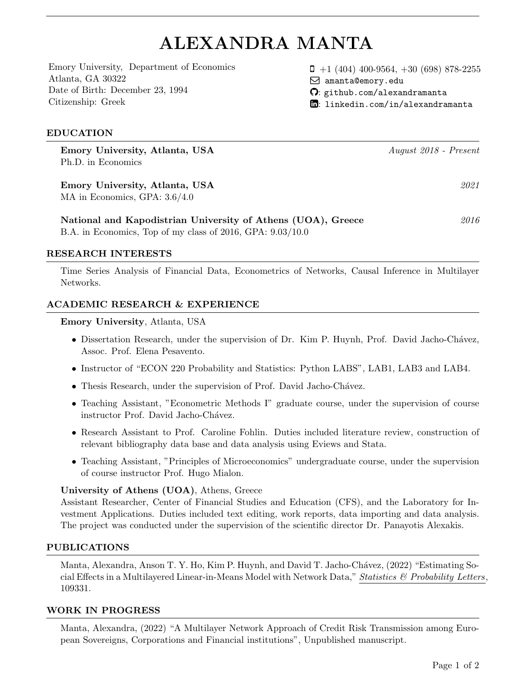# ALEXANDRA MANTA

[Emory University,](http://www.emory.edu/) [Department of Economics](http://economics.emory.edu/) Atlanta, GA 30322 Date of Birth: December 23, 1994 Citizenship: Greek

 $\Box$  +1 (404) 400-9564, +30 (698) 878-2255 Q [amanta@emory.edu](mailto:amanta@emory.edu)

- : [github.com/alexandramanta](https://github.com/alexandramanta)
- $\Box$ : linkedin.com/in/alexandramanta

## EDUCATION

Emory University, Atlanta, USA August 2018 - Present Ph.D. in Economics

Emory University, Atlanta, USA 2021 MA in Economics, GPA: 3.6/4.0

National and Kapodistrian University of Athens (UOA), Greece  $2016$ B.A. in Economics, Top of my class of 2016, GPA: 9.03/10.0

#### RESEARCH INTERESTS

Time Series Analysis of Financial Data, Econometrics of Networks, Causal Inference in Multilayer Networks.

## ACADEMIC RESEARCH & EXPERIENCE

#### Emory University, Atlanta, USA

- Dissertation Research, under the supervision of Dr. Kim P. Huynh, Prof. David Jacho-Chávez, Assoc. Prof. Elena Pesavento.
- Instructor of "ECON 220 Probability and Statistics: Python LABS", LAB1, LAB3 and LAB4.
- Thesis Research, under the supervision of Prof. David Jacho-Chávez.
- Teaching Assistant, "Econometric Methods I" graduate course, under the supervision of course instructor Prof. David Jacho-Chávez.
- Research Assistant to Prof. Caroline Fohlin. Duties included literature review, construction of relevant bibliography data base and data analysis using Eviews and Stata.
- Teaching Assistant, "Principles of Microeconomics" undergraduate course, under the supervision of course instructor Prof. Hugo Mialon.

#### University of Athens (UOA), Athens, Greece

Assistant Researcher, Center of Financial Studies and Education (CFS), and the Laboratory for Investment Applications. Duties included text editing, work reports, data importing and data analysis. The project was conducted under the supervision of the scientific director [Dr. Panayotis Alexakis.](mailto:paleks@uoa.gr)

#### PUBLICATIONS

Manta, Alexandra, Anson T. Y. Ho, Kim P. Huynh, and David T. Jacho-Chávez, (2022) "Estimating Social Effects in a Multilayered Linear-in-Means Model with Network Data," Statistics  $\mathcal{B}$  Probability Letters, 109331.

#### WORK IN PROGRESS

Manta, Alexandra, (2022) "A Multilayer Network Approach of Credit Risk Transmission among European Sovereigns, Corporations and Financial institutions", Unpublished manuscript.